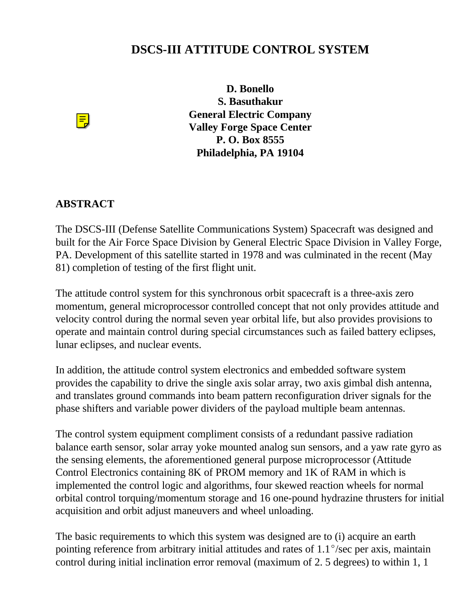## **DSCS-III ATTITUDE CONTROL SYSTEM**



**D. Bonello S. Basuthakur General Electric Company Valley Forge Space Center P. O. Box 8555 Philadelphia, PA 19104**

## **ABSTRACT**

The DSCS-III (Defense Satellite Communications System) Spacecraft was designed and built for the Air Force Space Division by General Electric Space Division in Valley Forge, PA. Development of this satellite started in 1978 and was culminated in the recent (May 81) completion of testing of the first flight unit.

The attitude control system for this synchronous orbit spacecraft is a three-axis zero momentum, general microprocessor controlled concept that not only provides attitude and velocity control during the normal seven year orbital life, but also provides provisions to operate and maintain control during special circumstances such as failed battery eclipses, lunar eclipses, and nuclear events.

In addition, the attitude control system electronics and embedded software system provides the capability to drive the single axis solar array, two axis gimbal dish antenna, and translates ground commands into beam pattern reconfiguration driver signals for the phase shifters and variable power dividers of the payload multiple beam antennas.

The control system equipment compliment consists of a redundant passive radiation balance earth sensor, solar array yoke mounted analog sun sensors, and a yaw rate gyro as the sensing elements, the aforementioned general purpose microprocessor (Attitude Control Electronics containing 8K of PROM memory and 1K of RAM in which is implemented the control logic and algorithms, four skewed reaction wheels for normal orbital control torquing/momentum storage and 16 one-pound hydrazine thrusters for initial acquisition and orbit adjust maneuvers and wheel unloading.

The basic requirements to which this system was designed are to (i) acquire an earth pointing reference from arbitrary initial attitudes and rates of  $1.1^{\circ}/sec$  per axis, maintain control during initial inclination error removal (maximum of 2. 5 degrees) to within 1, 1